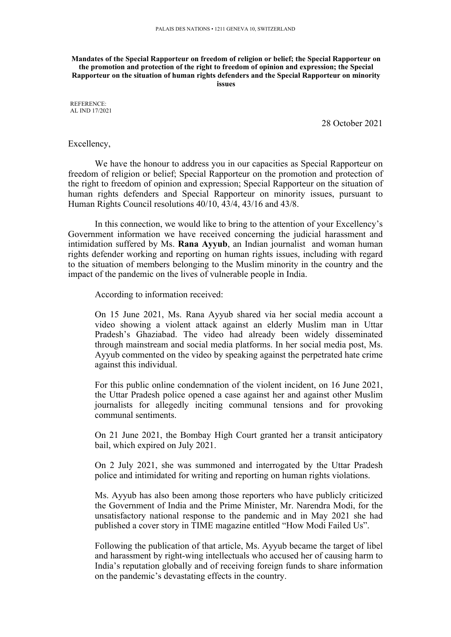## **Mandates of the Special Rapporteur on freedom of religion or belief; the Special Rapporteur on the promotion and protection of the right to freedom of opinion and expression; the Special Rapporteur on the situation of human rights defenders and the Special Rapporteur on minority issues**

REFERENCE: AL IND 17/2021

28 October 2021

Excellency,

We have the honour to address you in our capacities as Special Rapporteur on freedom of religion or belief; Special Rapporteur on the promotion and protection of the right to freedom of opinion and expression; Special Rapporteur on the situation of human rights defenders and Special Rapporteur on minority issues, pursuan<sup>t</sup> to Human Rights Council resolutions 40/10, 43/4, 43/16 and 43/8.

In this connection, we would like to bring to the attention of your Excellency'<sup>s</sup> Government information we have received concerning the judicial harassment and intimidation suffered by Ms. **Rana Ayyub**, an Indian journalist and woman human rights defender working and reporting on human rights issues, including with regard to the situation of members belonging to the Muslim minority in the country and the impact of the pandemic on the lives of vulnerable people in India.

According to information received:

On 15 June 2021, Ms. Rana Ayyub shared via her social media account <sup>a</sup> video showing <sup>a</sup> violent attack against an elderly Muslim man in Uttar Pradesh'<sup>s</sup> Ghaziabad. The video had already been widely disseminated through mainstream and social media platforms. In her social media post, Ms. Ayyub commented on the video by speaking against the perpetrated hate crime against this individual.

For this public online condemnation of the violent incident, on 16 June 2021, the Uttar Pradesh police opened <sup>a</sup> case against her and against other Muslim journalists for allegedly inciting communal tensions and for provoking communal sentiments.

On 21 June 2021, the Bombay High Court granted her <sup>a</sup> transit anticipatory bail, which expired on July 2021.

On 2 July 2021, she was summoned and interrogated by the Uttar Pradesh police and intimidated for writing and reporting on human rights violations.

Ms. Ayyub has also been among those reporters who have publicly criticized the Government of India and the Prime Minister, Mr. Narendra Modi, for the unsatisfactory national response to the pandemic and in May 2021 she had published <sup>a</sup> cover story in TIME magazine entitled "How Modi Failed Us".

Following the publication of that article, Ms. Ayyub became the target of libel and harassment by right-wing intellectuals who accused her of causing harm to India'<sup>s</sup> reputation globally and of receiving foreign funds to share information on the pandemic'<sup>s</sup> devastating effects in the country.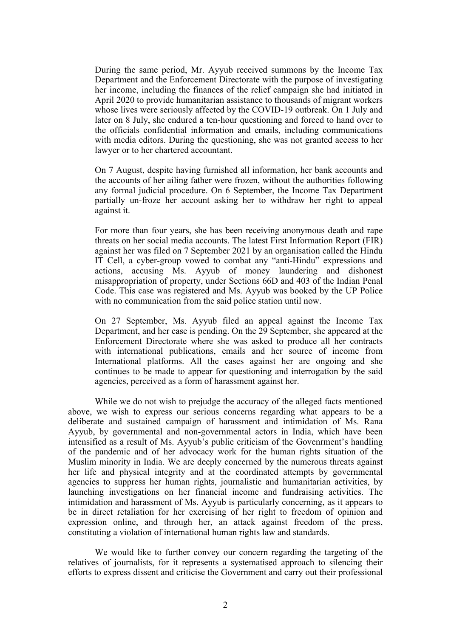During the same period, Mr. Ayyub received summons by the Income Tax Department and the Enforcement Directorate with the purpose of investigating her income, including the finances of the relief campaign she had initiated in April 2020 to provide humanitarian assistance to thousands of migrant workers whose lives were seriously affected by the COVID-19 outbreak. On 1 July and later on 8 July, she endured <sup>a</sup> ten-hour questioning and forced to hand over to the officials confidential information and emails, including communications with media editors. During the questioning, she was not granted access to her lawyer or to her chartered accountant.

On 7 August, despite having furnished all information, her bank accounts and the accounts of her ailing father were frozen, without the authorities following any formal judicial procedure. On 6 September, the Income Tax Department partially un-froze her account asking her to withdraw her right to appeal against it.

For more than four years, she has been receiving anonymous death and rape threats on her social media accounts. The latest First Information Report (FIR) against her was filed on 7 September 2021 by an organisation called the Hindu IT Cell, <sup>a</sup> cyber-group vowed to combat any "anti-Hindu" expressions and actions, accusing Ms. Ayyub of money laundering and dishonest misappropriation of property, under Sections 66D and 403 of the Indian Penal Code. This case was registered and Ms. Ayyub was booked by the UP Police with no communication from the said police station until now.

On 27 September, Ms. Ayyub filed an appeal against the Income Tax Department, and her case is pending. On the 29 September, she appeared at the Enforcement Directorate where she was asked to produce all her contracts with international publications, emails and her source of income from International platforms. All the cases against her are ongoing and she continues to be made to appear for questioning and interrogation by the said agencies, perceived as <sup>a</sup> form of harassment against her.

While we do not wish to prejudge the accuracy of the alleged facts mentioned above, we wish to express our serious concerns regarding what appears to be <sup>a</sup> deliberate and sustained campaign of harassment and intimidation of Ms. Rana Ayyub, by governmental and non-governmental actors in India, which have been intensified as <sup>a</sup> result of Ms. Ayyub'<sup>s</sup> public criticism of the Govenrment'<sup>s</sup> handling of the pandemic and of her advocacy work for the human rights situation of the Muslim minority in India. We are deeply concerned by the numerous threats against her life and physical integrity and at the coordinated attempts by governmental agencies to suppress her human rights, journalistic and humanitarian activities, by launching investigations on her financial income and fundraising activities. The intimidation and harassment of Ms. Ayyub is particularly concerning, as it appears to be in direct retaliation for her exercising of her right to freedom of opinion and expression online, and through her, an attack against freedom of the press, constituting <sup>a</sup> violation of international human rights law and standards.

We would like to further convey our concern regarding the targeting of the relatives of journalists, for it represents <sup>a</sup> systematised approach to silencing their efforts to express dissent and criticise the Government and carry out their professional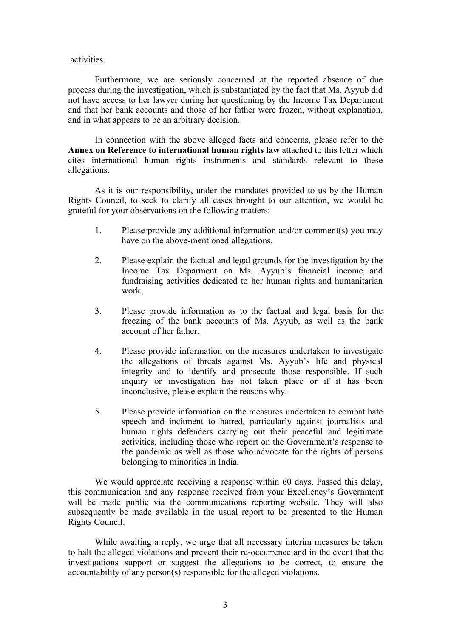activities.

Furthermore, we are seriously concerned at the reported absence of due process during the investigation, which is substantiated by the fact that Ms. Ayyub did not have access to her lawyer during her questioning by the Income Tax Department and that her bank accounts and those of her father were frozen, without explanation, and in what appears to be an arbitrary decision.

In connection with the above alleged facts and concerns, please refer to the **Annex on Reference to international human rights law** attached to this letter which cites international human rights instruments and standards relevant to these allegations.

As it is our responsibility, under the mandates provided to us by the Human Rights Council, to seek to clarify all cases brought to our attention, we would be grateful for your observations on the following matters:

- 1. Please provide any additional information and/or comment(s) you may have on the above-mentioned allegations.
- 2. Please explain the factual and legal grounds for the investigation by the Income Tax Deparment on Ms. Ayyub'<sup>s</sup> financial income and fundraising activities dedicated to her human rights and humanitarian work.
- 3. Please provide information as to the factual and legal basis for the freezing of the bank accounts of Ms. Ayyub, as well as the bank account of her father.
- 4. Please provide information on the measures undertaken to investigate the allegations of threats against Ms. Ayyub'<sup>s</sup> life and physical integrity and to identify and prosecute those responsible. If such inquiry or investigation has not taken place or if it has been inconclusive, please explain the reasons why.
- 5. Please provide information on the measures undertaken to combat hate speech and incitment to hatred, particularly against journalists and human rights defenders carrying out their peaceful and legitimate activities, including those who repor<sup>t</sup> on the Government'<sup>s</sup> response to the pandemic as well as those who advocate for the rights of persons belonging to minorities in India.

We would appreciate receiving <sup>a</sup> response within 60 days. Passed this delay, this communication and any response received from your Excellency'<sup>s</sup> Government will be made public via the communications reporting website. They will also subsequently be made available in the usual repor<sup>t</sup> to be presented to the Human Rights Council.

While awaiting <sup>a</sup> reply, we urge that all necessary interim measures be taken to halt the alleged violations and preven<sup>t</sup> their re-occurrence and in the event that the investigations suppor<sup>t</sup> or sugges<sup>t</sup> the allegations to be correct, to ensure the accountability of any person(s) responsible for the alleged violations.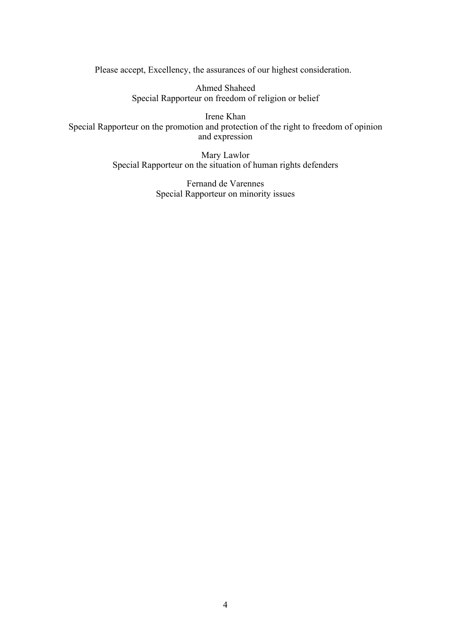Please accept, Excellency, the assurances of our highest consideration.

Ahmed Shaheed Special Rapporteur on freedom of religion or belief

Irene Khan Special Rapporteur on the promotion and protection of the right to freedom of opinion and expression

> Mary Lawlor Special Rapporteur on the situation of human rights defenders

> > Fernand de Varennes Special Rapporteur on minority issues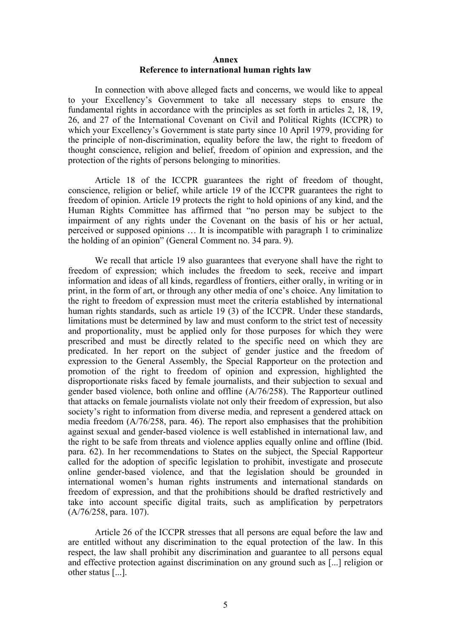## **Annex Reference to international human rights law**

In connection with above alleged facts and concerns, we would like to appeal to your Excellency'<sup>s</sup> Government to take all necessary steps to ensure the fundamental rights in accordance with the principles as set forth in articles 2, 18, 19, 26, and 27 of the International Covenant on Civil and Political Rights (ICCPR) to which your Excellency'<sup>s</sup> Government is state party since 10 April 1979, providing for the principle of non-discrimination, equality before the law, the right to freedom of thought conscience, religion and belief, freedom of opinion and expression, and the protection of the rights of persons belonging to minorities.

Article 18 of the ICCPR guarantees the right of freedom of thought, conscience, religion or belief, while article 19 of the ICCPR guarantees the right to freedom of opinion. Article 19 protects the right to hold opinions of any kind, and the Human Rights Committee has affirmed that "no person may be subject to the impairment of any rights under the Covenant on the basis of his or her actual, perceived or supposed opinions … It is incompatible with paragraph 1 to criminalize the holding of an opinion" (General Comment no. 34 para. 9).

We recall that article 19 also guarantees that everyone shall have the right to freedom of expression; which includes the freedom to seek, receive and impart information and ideas of all kinds, regardless of frontiers, either orally, in writing or in print, in the form of art, or through any other media of one'<sup>s</sup> choice. Any limitation to the right to freedom of expression must meet the criteria established by international human rights standards, such as article 19 (3) of the ICCPR. Under these standards, limitations must be determined by law and must conform to the strict test of necessity and proportionality, must be applied only for those purposes for which they were prescribed and must be directly related to the specific need on which they are predicated. In her repor<sup>t</sup> on the subject of gender justice and the freedom of expression to the General Assembly, the Special Rapporteur on the protection and promotion of the right to freedom of opinion and expression, highlighted the disproportionate risks faced by female journalists, and their subjection to sexual and gender based violence, both online and offline (A/76/258). The Rapporteur outlined that attacks on female journalists violate not only their freedom of expression, but also society'<sup>s</sup> right to information from diverse media, and represen<sup>t</sup> <sup>a</sup> gendered attack on media freedom (A/76/258, para. 46). The repor<sup>t</sup> also emphasises that the prohibition against sexual and gender-based violence is well established in international law, and the right to be safe from threats and violence applies equally online and offline (Ibid. para. 62). In her recommendations to States on the subject, the Special Rapporteur called for the adoption of specific legislation to prohibit, investigate and prosecute online gender-based violence, and that the legislation should be grounded in international women'<sup>s</sup> human rights instruments and international standards on freedom of expression, and that the prohibitions should be drafted restrictively and take into account specific digital traits, such as amplification by perpetrators (A/76/258, para. 107).

Article 26 of the ICCPR stresses that all persons are equal before the law and are entitled without any discrimination to the equal protection of the law. In this respect, the law shall prohibit any discrimination and guarantee to all persons equal and effective protection against discrimination on any ground such as [...] religion or other status [...].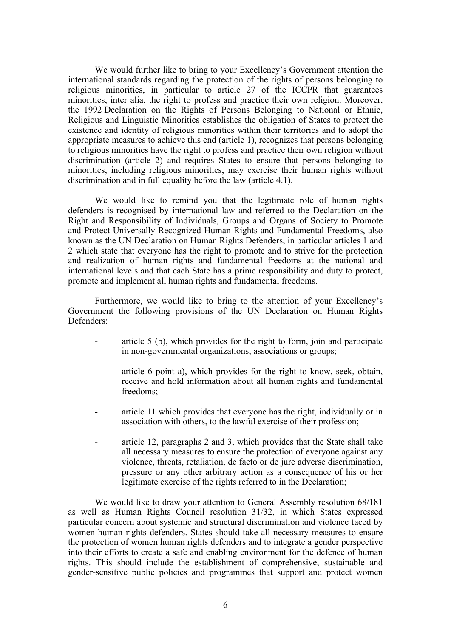We would further like to bring to your Excellency'<sup>s</sup> Government attention the international standards regarding the protection of the rights of persons belonging to religious minorities, in particular to article 27 of the ICCPR that guarantees minorities, inter alia, the right to profess and practice their own religion. Moreover, the 1992 Declaration on the Rights of Persons Belonging to National or Ethnic, Religious and Linguistic Minorities establishes the obligation of States to protect the existence and identity of religious minorities within their territories and to adopt the appropriate measures to achieve this end (article 1), recognizes that persons belonging to religious minorities have the right to profess and practice their own religion without discrimination (article 2) and requires States to ensure that persons belonging to minorities, including religious minorities, may exercise their human rights without discrimination and in full equality before the law (article 4.1).

We would like to remind you that the legitimate role of human rights defenders is recognised by international law and referred to the Declaration on the Right and Responsibility of Individuals, Groups and Organs of Society to Promote and Protect Universally Recognized Human Rights and Fundamental Freedoms, also known as the UN Declaration on Human Rights Defenders, in particular articles 1 and 2 which state that everyone has the right to promote and to strive for the protection and realization of human rights and fundamental freedoms at the national and international levels and that each State has <sup>a</sup> prime responsibility and duty to protect, promote and implement all human rights and fundamental freedoms.

Furthermore, we would like to bring to the attention of your Excellency'<sup>s</sup> Government the following provisions of the UN Declaration on Human Rights Defenders:

- article 5 (b), which provides for the right to form, join and participate in non-governmental organizations, associations or groups;
- article 6 point a), which provides for the right to know, seek, obtain, receive and hold information about all human rights and fundamental freedoms;
- article 11 which provides that everyone has the right, individually or in association with others, to the lawful exercise of their profession;
- article 12, paragraphs 2 and 3, which provides that the State shall take all necessary measures to ensure the protection of everyone against any violence, threats, retaliation, de facto or de jure adverse discrimination, pressure or any other arbitrary action as <sup>a</sup> consequence of his or her legitimate exercise of the rights referred to in the Declaration;

We would like to draw your attention to General Assembly resolution  $68/181$ as well as Human Rights Council resolution 31/32, in which States expressed particular concern about systemic and structural discrimination and violence faced by women human rights defenders. States should take all necessary measures to ensure the protection of women human rights defenders and to integrate <sup>a</sup> gender perspective into their efforts to create <sup>a</sup> safe and enabling environment for the defence of human rights. This should include the establishment of comprehensive, sustainable and gender-sensitive public policies and programmes that suppor<sup>t</sup> and protect women